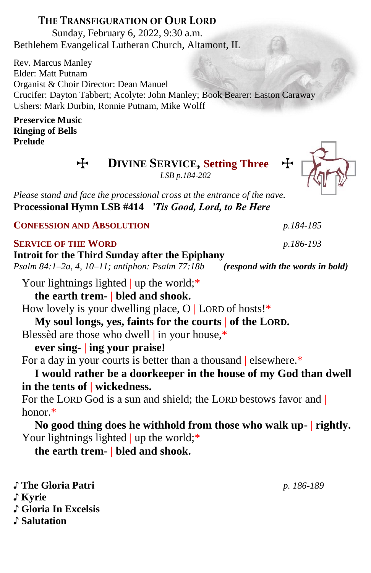# **THE TRANSFIGURATION OF OUR LORD**

Sunday, February 6, 2022, 9:30 a.m. Bethlehem Evangelical Lutheran Church, Altamont, IL

Rev. Marcus Manley Elder: Matt Putnam Organist & Choir Director: Dean Manuel Crucifer: Dayton Tabbert; Acolyte: John Manley; Book Bearer: Easton Caraway Ushers: Mark Durbin, Ronnie Putnam, Mike Wolff

#### **Preservice Music Ringing of Bells Prelude**

 $\div$  **DIVINE SERVICE, Setting Three** 

*LSB p.184-202*

*Please stand and face the processional cross at the entrance of the nave.* **Processional Hymn LSB #414** *'Tis Good, Lord, to Be Here* 

**CONFESSION AND ABSOLUTION** *p.184-185*

## **SERVICE OF THE WORD** *p.186-193*

## **Introit for the Third Sunday after the Epiphany**

*Psalm 84:1–2a, 4, 10–11; antiphon: Psalm 77:18b**(respond with the words in bold)*

Your lightnings lighted | up the world;\*

**the earth trem- | bled and shook.**

How lovely is your dwelling place,  $O$  | LORD of hosts!\*

**My soul longs, yes, faints for the courts | of the LORD.**

Blessèd are those who dwell | in your house,\*

# **ever sing- | ing your praise!**

For a day in your courts is better than a thousand | elsewhere.\*

**I would rather be a doorkeeper in the house of my God than dwell in the tents of | wickedness.**

For the LORD God is a sun and shield; the LORD bestows favor and | honor.\*

**No good thing does he withhold from those who walk up- | rightly.** Your lightnings lighted | up the world;\*

**the earth trem- | bled and shook.**

♪ **The Gloria Patri** *p. 186-189* ♪ **Kyrie** ♪ **Gloria In Excelsis** ♪ **Salutation**

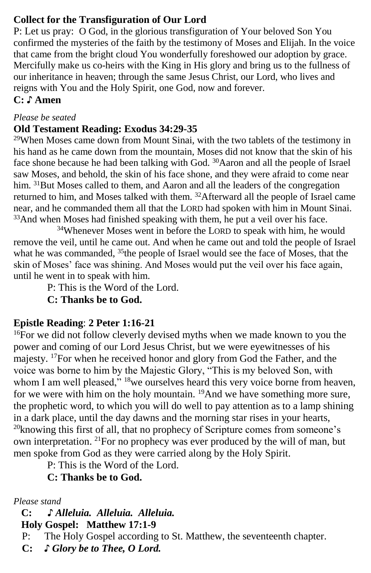## **Collect for the Transfiguration of Our Lord**

P: Let us pray: O God, in the glorious transfiguration of Your beloved Son You confirmed the mysteries of the faith by the testimony of Moses and Elijah. In the voice that came from the bright cloud You wonderfully foreshowed our adoption by grace. Mercifully make us co-heirs with the King in His glory and bring us to the fullness of our inheritance in heaven; through the same Jesus Christ, our Lord, who lives and reigns with You and the Holy Spirit, one God, now and forever.

# **C: ♪ Amen**

#### *Please be seated*

#### **Old Testament Reading: Exodus 34:29-35**

 $29$ When Moses came down from Mount Sinai, with the two tablets of the testimony in his hand as he came down from the mountain, Moses did not know that the skin of his face shone because he had been talking with God. <sup>30</sup>Aaron and all the people of Israel saw Moses, and behold, the skin of his face shone, and they were afraid to come near him. <sup>31</sup>But Moses called to them, and Aaron and all the leaders of the congregation returned to him, and Moses talked with them. <sup>32</sup>Afterward all the people of Israel came near, and he commanded them all that the LORD had spoken with him in Mount Sinai. <sup>33</sup>And when Moses had finished speaking with them, he put a veil over his face.

<sup>34</sup>Whenever Moses went in before the LORD to speak with him, he would remove the veil, until he came out. And when he came out and told the people of Israel what he was commanded,  $35$ the people of Israel would see the face of Moses, that the skin of Moses' face was shining. And Moses would put the veil over his face again, until he went in to speak with him.

P: This is the Word of the Lord.

**C: Thanks be to God.**

## **Epistle Reading**: **2 Peter 1:16-21**

<sup>16</sup>For we did not follow cleverly devised myths when we made known to you the power and coming of our Lord Jesus Christ, but we were eyewitnesses of his majesty. <sup>17</sup>For when he received honor and glory from God the Father, and the voice was borne to him by the Majestic Glory, "This is my beloved Son, with whom I am well pleased," <sup>18</sup>we ourselves heard this very voice borne from heaven, for we were with him on the holy mountain. <sup>19</sup>And we have something more sure, the prophetic word, to which you will do well to pay attention as to a lamp shining in a dark place, until the day dawns and the morning star rises in your hearts,  $20$ knowing this first of all, that no prophecy of Scripture comes from someone's own interpretation. <sup>21</sup>For no prophecy was ever produced by the will of man, but men spoke from God as they were carried along by the Holy Spirit.

P: This is the Word of the Lord.

# **C: Thanks be to God.**

#### *Please stand*

 **C: ♪** *Alleluia. Alleluia. Alleluia.*

 **Holy Gospel: Matthew 17:1-9**

P: The Holy Gospel according to St. Matthew, the seventeenth chapter.

**C:** *♪ Glory be to Thee, O Lord.*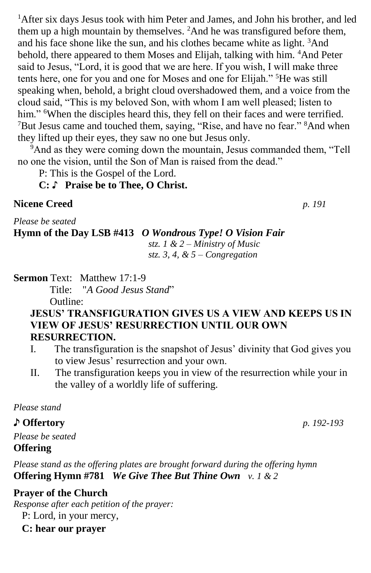<sup>1</sup>After six days Jesus took with him Peter and James, and John his brother, and led them up a high mountain by themselves. <sup>2</sup>And he was transfigured before them, and his face shone like the sun, and his clothes became white as light. <sup>3</sup>And behold, there appeared to them Moses and Elijah, talking with him. <sup>4</sup>And Peter said to Jesus, "Lord, it is good that we are here. If you wish, I will make three tents here, one for you and one for Moses and one for Elijah." <sup>5</sup>He was still speaking when, behold, a bright cloud overshadowed them, and a voice from the cloud said, "This is my beloved Son, with whom I am well pleased; listen to him." <sup>6</sup>When the disciples heard this, they fell on their faces and were terrified. <sup>7</sup>But Jesus came and touched them, saying, "Rise, and have no fear." <sup>8</sup>And when they lifted up their eyes, they saw no one but Jesus only.

<sup>9</sup>And as they were coming down the mountain, Jesus commanded them, "Tell no one the vision, until the Son of Man is raised from the dead."

P: This is the Gospel of the Lord.

#### **C:** ♪ **Praise be to Thee, O Christ.**

#### **Nicene Creed** *p. 191*

*Please be seated*

# **Hymn of the Day LSB #413** *O Wondrous Type! O Vision Fair*

*stz. 1 & 2 – Ministry of Music stz. 3, 4, & 5 – Congregation*

**Sermon Text: Matthew 17:1-9** 

Title: "*A Good Jesus Stand*"

Outline:

## **JESUS' TRANSFIGURATION GIVES US A VIEW AND KEEPS US IN VIEW OF JESUS' RESURRECTION UNTIL OUR OWN RESURRECTION.**

- I. The transfiguration is the snapshot of Jesus' divinity that God gives you to view Jesus' resurrection and your own.
- II. The transfiguration keeps you in view of the resurrection while your in the valley of a worldly life of suffering.

*Please stand*

## ♪ **Offertory** *p. 192-193*

*Please be seated* **Offering** 

*Please stand as the offering plates are brought forward during the offering hymn* **Offering Hymn #781** *We Give Thee But Thine Own v. 1 & 2*

## **Prayer of the Church**

*Response after each petition of the prayer:*

P: Lord, in your mercy,

**C: hear our prayer**